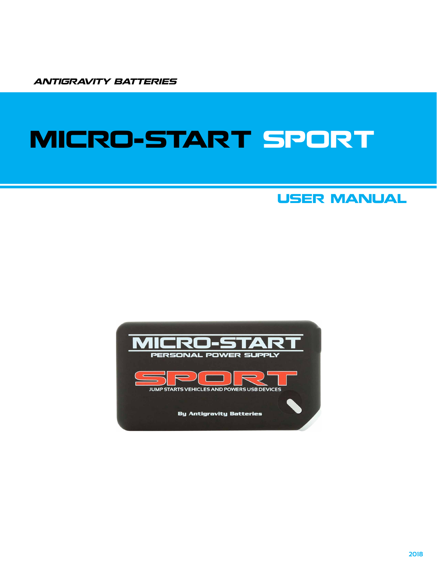ANTIGRAVITY BATTERIES

# MICRO-START SPORT

### USER MANUAL

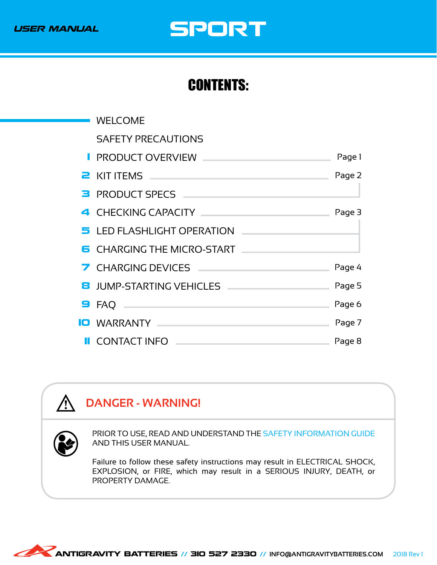

# USER MANUAL SPORT

### CONTENTS:

| <b>WELCOME</b>                                                                                                                                                                                                                            |        |
|-------------------------------------------------------------------------------------------------------------------------------------------------------------------------------------------------------------------------------------------|--------|
| <b>SAFETY PRECAUTIONS</b>                                                                                                                                                                                                                 |        |
| <b>PRODUCT OVERVIEW __</b>                                                                                                                                                                                                                | Page 1 |
| <b>2</b> KIT ITEMS <b>And All Accounts and Accounts</b> and Accounts and Accounts and Accounts and Accounts and Accounts and Accounts and Accounts and Accounts and Accounts and Accounts and Accounts and Accounts and Accounts and Acc  | Page 2 |
| <b>B</b> PRODUCT SPECS <b>And All Accounts B</b> PRODUCT SPECS                                                                                                                                                                            |        |
| 4 CHECKING CAPACITY And A CHECKING APACITY                                                                                                                                                                                                | Page 3 |
| 5 LED FLASHLIGHT OPERATION                                                                                                                                                                                                                |        |
| <b>6</b> CHARGING THE MICRO-START                                                                                                                                                                                                         |        |
| 7 CHARGING DEVICES <b>CHARGING</b> DEVICES                                                                                                                                                                                                | Page 4 |
| <b>8</b> JUMP-STARTING VEHICLES                                                                                                                                                                                                           | Page 5 |
| $\blacksquare$ FAQ $\blacksquare$                                                                                                                                                                                                         | Page 6 |
| <b>IO</b> WARRANTY <b>AND AN INCONSTRUCT OF THE UP OF THE UP OF THE UP OF THE UP OF THE UP OF THE UP OF THE UP OF THE UP OF THE UP OF THE UP OF THE UP OF THE UP OF THE UP OF THE UP OF THE UP OF THE UP OF THE UP OF THE UP OF THE U</b> | Page 7 |
| <b>II</b> CONTACT INFO —                                                                                                                                                                                                                  | Page 8 |

### **DANGER - WARNING!**



**⁄**}

PRIOR TO USE, READ AND UNDERSTAND THE SAFETY INFORMATION GUIDE AND THIS USER MANUAL.

Failure to follow these safety instructions may result in ELECTRICAL SHOCK, EXPLOSION, or FIRE, which may result in a SERIOUS INJURY, DEATH, or PROPERTY DAMAGE.

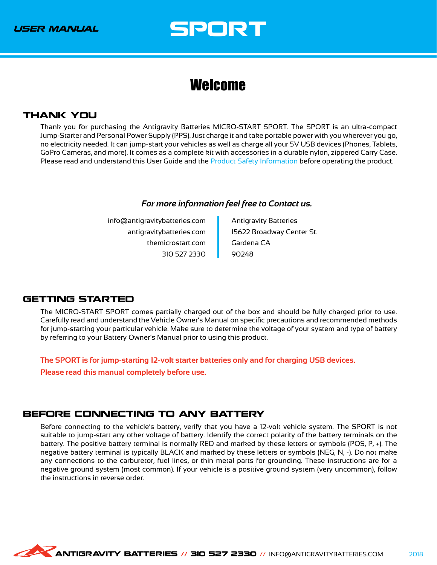### <span id="page-2-0"></span>Welcome

#### THANK YOU

Thank you for purchasing the Antigravity Batteries MICRO-START SPORT. The SPORT is an ultra-compact Jump-Starter and Personal Power Supply (PPS). Just charge it and take portable power with you wherever you go, no electricity needed. It can jump-start your vehicles as well as charge all your 5V USB devices (Phones, Tablets, GoPro Cameras, and more). It comes as a complete kit with accessories in a durable nylon, zippered Carry Case. Please read and understand this User Guide and the Product Safety Information before operating the product.

#### *For more information feel free to Contact us.*

info@antigravitybatteries.com antigravitybatteries.com themicrostart.com 310 527 2330 Antigravity Batteries 15622 Broadway Center St. Gardena CA 90248

#### GETTING STARTED

The MICRO-START SPORT comes partially charged out of the box and should be fully charged prior to use. Carefully read and understand the Vehicle Owner's Manual on specific precautions and recommended methods for jump-starting your particular vehicle. Make sure to determine the voltage of your system and type of battery by referring to your Battery Owner's Manual prior to using this product.

**The SPORT is for jump-starting 12-volt starter batteries only and for charging USB devices.**

**Please read this manual completely before use.**

#### BEFORE CONNECTING TO ANY BATTERY

Before connecting to the vehicle's battery, verify that you have a 12-volt vehicle system. The SPORT is not suitable to jump-start any other voltage of battery. Identify the correct polarity of the battery terminals on the battery. The positive battery terminal is normally RED and marked by these letters or symbols (POS, P, +). The negative battery terminal is typically BLACK and marked by these letters or symbols (NEG, N, -). Do not make any connections to the carburetor, fuel lines, or thin metal parts for grounding. These instructions are for a negative ground system (most common). If your vehicle is a positive ground system (very uncommon), follow the instructions in reverse order.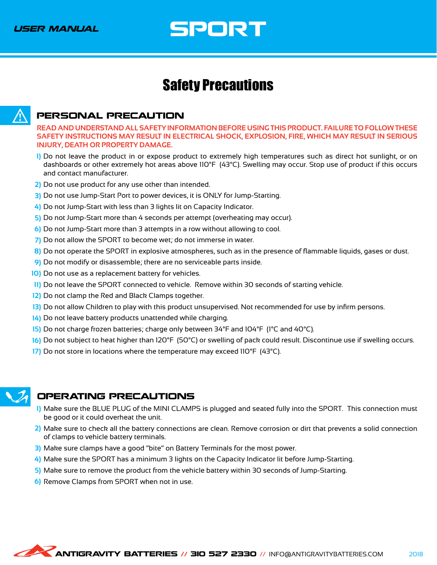### <span id="page-3-0"></span>Safety Precautions



#### PERSONAL PRECAUTION

**READ AND UNDERSTAND ALL SAFETY INFORMATION BEFORE USING THIS PRODUCT. FAILURE TO FOLLOW THESE SAFETY INSTRUCTIONS MAY RESULT IN ELECTRICAL SHOCK, EXPLOSION, FIRE, WHICH MAY RESULT IN SERIOUS INJURY, DEATH OR PROPERTY DAMAGE.**

- Do not leave the product in or expose product to extremely high temperatures such as direct hot sunlight, or on **1)** dashboards or other extremely hot areas above 110°F (43°C). Swelling may occur. Stop use of product if this occurs and contact manufacturer.
- Do not use product for any use other than intended. **2)**
- 3) Do not use Jump-Start Port to power devices, it is ONLY for Jump-Starting.
- Do not Jump-Start with less than 3 lights lit on Capacity Indicator. **4)**
- 5) Do not Jump-Start more than 4 seconds per attempt (overheating may occur).
- Do not Jump-Start more than 3 attempts in a row without allowing to cool. **6)**
- Do not allow the SPORT to become wet; do not immerse in water. **7)**
- Do not operate the SPORT in explosive atmospheres, such as in the presence of flammable liquids, gases or dust. **8)**
- Do not modify or disassemble; there are no serviceable parts inside. **9)**
- 10) Do not use as a replacement battery for vehicles.
- 11) Do not leave the SPORT connected to vehicle. Remove within 30 seconds of starting vehicle.
- 12) Do not clamp the Red and Black Clamps together.
- 13) Do not allow Children to play with this product unsupervised. Not recommended for use by infirm persons.
- Do not leave battery products unattended while charging. **14)**
- 15) Do not charge frozen batteries; charge only between 34°F and 104°F (1°C and 40°C).
- Do not subject to heat higher than 120°F (50°C) or swelling of pack could result. Discontinue use if swelling occurs. **16)**
- 17) Do not store in locations where the temperature may exceed 110°F (43°C).



#### OPERATING PRECAUTIONS

- Make sure the BLUE PLUG of the MINI CLAMPS is plugged and seated fully into the SPORT. This connection must **1)** be good or it could overheat the unit.
- Make sure to check all the battery connections are clean. Remove corrosion or dirt that prevents a solid connection **2)** of clamps to vehicle battery terminals.
- 3) Make sure clamps have a good "bite" on Battery Terminals for the most power.
- Make sure the SPORT has a minimum 3 lights on the Capacity Indicator lit before Jump-Starting. **4)**
- Make sure to remove the product from the vehicle battery within 30 seconds of Jump-Starting. **5)**
- Remove Clamps from SPORT when not in use. **6)**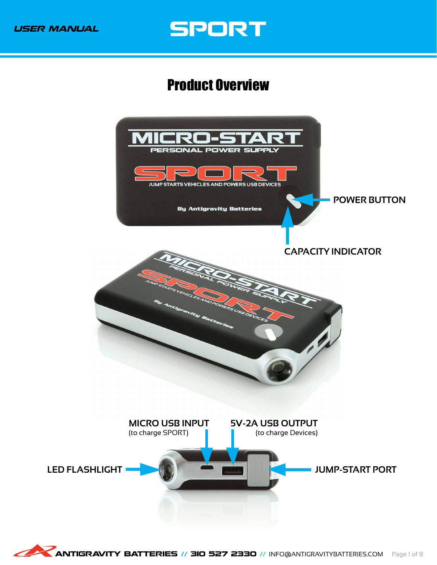### <span id="page-4-0"></span>Product Overview

<span id="page-4-1"></span>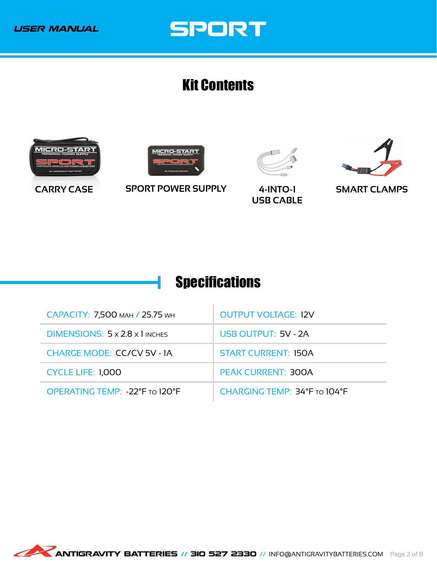### <span id="page-5-0"></span>Kit Contents

<span id="page-5-2"></span>







**CARRY CASE SPORT POWER SUPPLY 4-INTO-1**

**USB CABLE**

**SMART CLAMPS**

### <span id="page-5-1"></span>**Specifications**

| САРАСІТУ: 7,500 млн / 25.75 мн    | <b>OUTPUT VOLTAGE: 12V</b>   |
|-----------------------------------|------------------------------|
| DIMENSIONS: 5 x 2.8 x 1 INCHES    | USB OUTPUT: 5V - 2A          |
| <b>CHARGE MODE: CC/CV 5V - 1A</b> | <b>START CURRENT: 150A</b>   |
| <b>CYCLE LIFE: 1,000</b>          | <b>PEAK CURRENT: 300A</b>    |
| OPERATING TEMP: -22°F TO 120°F    | CHARGING TEMP: 34°F TO 104°F |

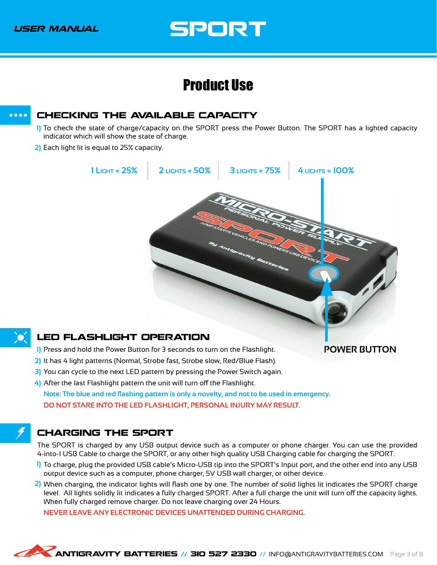### Product Use

#### <span id="page-6-3"></span>CHECKING THE AVAILABLE CAPACITY  $\bullet\bullet\bullet\bullet$

- <span id="page-6-0"></span>To check the state of charge/capacity on the SPORT press the Power Button. The SPORT has a lighted capacity **1)** indicator which will show the state of charge.
- Each light lit is equal to 25% capacity. **2)**



<span id="page-6-1"></span>Press and hold the Power Button for 3 seconds to turn on the Flashlight. **1)**

**POWER BUTTON**

- 2) It has 4 light patterns (Normal, Strobe fast, Strobe slow, Red/Blue Flash).
	- 3) You can cycle to the next LED pattern by pressing the Power Switch again.
- After the last Flashlight pattern the unit will turn off the Flashlight. **4)**

**Note: The blue and red flashing pattern is only a novelty, and not to be used in emergency. DO NOT STARE INTO THE LED FLASHLIGHT, PERSONAL INJURY MAY RESULT.**

### <span id="page-6-2"></span>CHARGING THE SPORT

The SPORT is charged by any USB output device such as a computer or phone charger. You can use the provided 4-into-1 USB Cable to charge the SPORT, or any other high quality USB Charging cable for charging the SPORT.

- To charge, plug the provided USB cable's Micro-USB tip into the SPORT's Input port, and the other end into any USB **1)** output device such as a computer, phone charger, 5V USB wall charger, or other device.
- When charging, the indicator lights will flash one by one. The number of solid lights lit indicates the SPORT charge **2)** level. All lights solidly lit indicates a fully charged SPORT. After a full charge the unit will turn off the capacity lights. When fully charged remove charger. Do not leave charging over 24 Hours.

**NEVER LEAVE ANY ELECTRONIC DEVICES UNATTENDED DURING CHARGING.**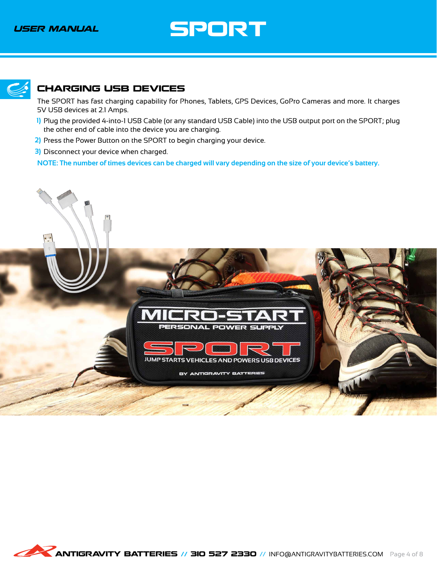<span id="page-7-1"></span>

#### <span id="page-7-0"></span>CHARGING USB DEVICES

The SPORT has fast charging capability for Phones, Tablets, GPS Devices, GoPro Cameras and more. It charges 5V USB devices at 2.1 Amps.

- Plug the provided 4-into-1 USB Cable (or any standard USB Cable) into the USB output port on the SPORT; plug **1)** the other end of cable into the device you are charging.
- 2) Press the Power Button on the SPORT to begin charging your device.
	- Disconnect your device when charged. **3)**

**NOTE: The number of times devices can be charged will vary depending on the size of your device's battery.**

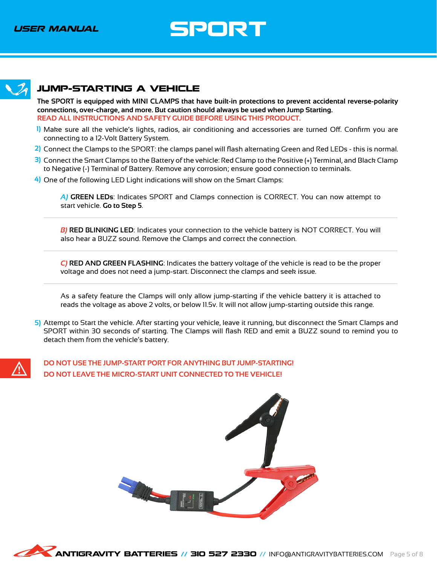<span id="page-8-1"></span>

#### <span id="page-8-0"></span>JUMP-STARTING A VEHICLE

**The SPORT is equipped with MINI CLAMPS that have built-in protections to prevent accidental reverse-polarity connections, over-charge, and more. But caution should always be used when Jump Starting. READ ALL INSTRUCTIONS AND SAFETY GUIDE BEFORE USING THIS PRODUCT.**

- Make sure all the vehicle's lights, radios, air conditioning and accessories are turned Off. Confirm you are **1)** connecting to a 12-Volt Battery System.
- Connect the Clamps to the SPORT: the clamps panel will flash alternating Green and Red LEDs this is normal. **2)**
	- Connect the Smart Clamps to the Battery of the vehicle: Red Clamp to the Positive (+) Terminal, and Black Clamp **3)** to Negative (-) Terminal of Battery. Remove any corrosion; ensure good connection to terminals.
	- One of the following LED Light indications will show on the Smart Clamps: **4)**

*A)* **GREEN LEDs**: Indicates SPORT and Clamps connection is CORRECT. You can now attempt to start vehicle. **Go to Step 5**.

*B)* **RED BLINKING LED**: Indicates your connection to the vehicle battery is NOT CORRECT. You will also hear a BUZZ sound. Remove the Clamps and correct the connection.

*C)* **RED AND GREEN FLASHING**: Indicates the battery voltage of the vehicle is read to be the proper voltage and does not need a jump-start. Disconnect the clamps and seek issue.

As a safety feature the Clamps will only allow jump-starting if the vehicle battery it is attached to reads the voltage as above 2 volts, or below 11.5v. It will not allow jump-starting outside this range.

Attempt to Start the vehicle. After starting your vehicle, leave it running, but disconnect the Smart Clamps and **5)** SPORT within 30 seconds of starting. The Clamps will flash RED and emit a BUZZ sound to remind you to detach them from the vehicle's battery.



**DO NOT USE THE JUMP-START PORT FOR ANYTHING BUT JUMP-STARTING! DO NOT LEAVE THE MICRO-START UNIT CONNECTED TO THE VEHICLE!**



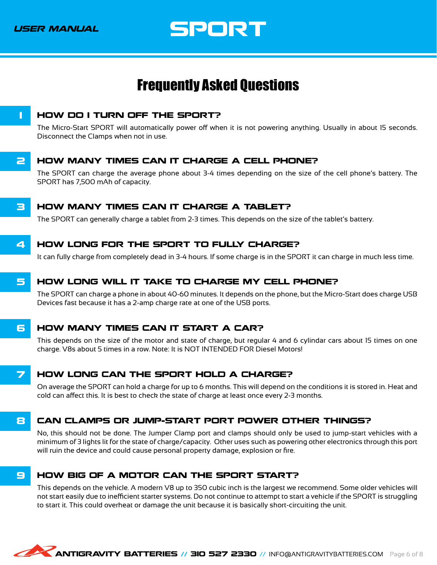<span id="page-9-1"></span>USER MANUAL

SPORT

### <span id="page-9-0"></span>Frequently Asked Questions



The Micro-Start SPORT will automatically power off when it is not powering anything. Usually in about 15 seconds. Disconnect the Clamps when not in use.

#### **2 HOW MANY TIMES CAN IT CHARGE A CELL PHONE?**

The SPORT can charge the average phone about 3-4 times depending on the size of the cell phone's battery. The SPORT has 7,500 mAh of capacity.

#### **3 HOW MANY TIMES CAN IT CHARGE A TABLET?**

The SPORT can generally charge a tablet from 2-3 times. This depends on the size of the tablet's battery.

#### 4 HOW LONG FOR THE SPORT TO FULLY CHARGE?

It can fully charge from completely dead in 3-4 hours. If some charge is in the SPORT it can charge in much less time.

#### 5 HOW LONG WILL IT TAKE TO CHARGE MY CELL PHONE?

The SPORT can charge a phone in about 40-60 minutes. It depends on the phone, but the Micro-Start does charge USB Devices fast because it has a 2-amp charge rate at one of the USB ports.

#### **6 HOW MANY TIMES CAN IT START A CAR?**

This depends on the size of the motor and state of charge, but regular 4 and 6 cylindar cars about 15 times on one charge. V8s about 5 times in a row. Note: It is NOT INTENDED FOR Diesel Motors!

#### 7 HOW LONG CAN THE SPORT HOLD A CHARGE?

On average the SPORT can hold a charge for up to 6 months. This will depend on the conditions it is stored in. Heat and cold can affect this. It is best to check the state of charge at least once every 2-3 months.

#### 8 CAN CLAMPS OR JUMP-START PORT POWER OTHER THINGS?

No, this should not be done. The Jumper Clamp port and clamps should only be used to jump-start vehicles with a minimum of 3 lights lit for the state of charge/capacity. Other uses such as powering other electronics through this port will ruin the device and could cause personal property damage, explosion or fire.

#### 9 HOW BIG OF A MOTOR CAN THE SPORT START?

This depends on the vehicle. A modern V8 up to 350 cubic inch is the largest we recommend. Some older vehicles will not start easily due to inefficient starter systems. Do not continue to attempt to start a vehicle if the SPORT is struggling to start it. This could overheat or damage the unit because it is basically short-circuiting the unit.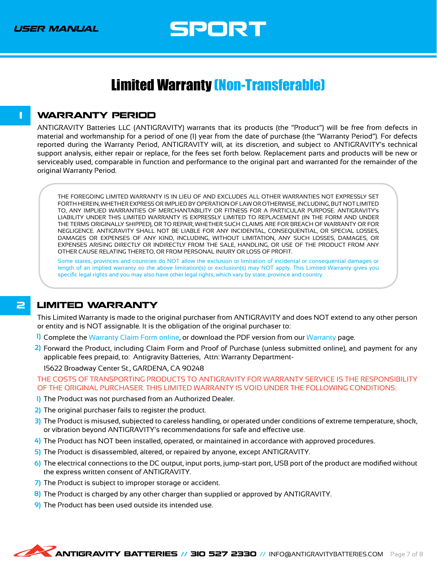### <span id="page-10-0"></span>Limited Warranty (Non-Transferable)

#### <span id="page-10-1"></span>**1 WARRANTY PERIOD**

ANTIGRAVITY Batteries LLC (ANTIGRAVITY) warrants that its products (the "Product") will be free from defects in material and workmanship for a period of one (1) year from the date of purchase (the "Warranty Period"). For defects reported during the Warranty Period, ANTIGRAVITY will, at its discretion, and subject to ANTIGRAVITY's technical support analysis, either repair or replace, for the fees set forth below. Replacement parts and products will be new or serviceably used, comparable in function and performance to the original part and warranted for the remainder of the original Warranty Period.

THE FOREGOING LIMITED WARRANTY IS IN LIEU OF AND EXCLUDES ALL OTHER WARRANTIES NOT EXPRESSLY SET FORTH HEREIN, WHETHER EXPRESS OR IMPLIED BY OPERATION OF LAW OR OTHERWISE, INCLUDING, BUT NOT LIMITED TO, ANY IMPLIED WARRANTIES OF MERCHANTABILITY OR FITNESS FOR A PARTICULAR PURPOSE. ANTIGRAVITY's LIABILITY UNDER THIS LIMITED WARRANTY IS EXPRESSLY LIMITED TO REPLACEMENT (IN THE FORM AND UNDER THE TERMS ORIGINALLY SHIPPED), OR TO REPAIR, WHETHER SUCH CLAIMS ARE FOR BREACH OF WARRANTY OR FOR NEGLIGENCE. ANTIGRAVITY SHALL NOT BE LIABLE FOR ANY INCIDENTAL, CONSEQUENTIAL, OR SPECIAL LOSSES, DAMAGES OR EXPENSES OF ANY KIND, INCLUDING, WITHOUT LIMITATION, ANY SUCH LOSSES, DAMAGES, OR EXPENSES ARISING DIRECTLY OR INDIRECTLY FROM THE SALE, HANDLING, OR USE OF THE PRODUCT FROM ANY OTHER CAUSE RELATING THERETO, OR FROM PERSONAL INJURY OR LOSS OF PROFIT.

Some states, provinces and countries do NOT allow the exclusion or limitation of incidental or consequential damages or length of an implied warranty so the above limitation(s) or exclusion(s) may NOT apply. This Limited Warranty gives you specific legal rights and you may also have other legal rights, which vary by state, province and country.

#### **2 LIMITED WARRANTY**

This Limited Warranty is made to the original purchaser from ANTIGRAVITY and does NOT extend to any other person or entity and is NOT assignable. It is the obligation of the original purchaser to:

- Complete the [Warranty Claim Form online](https://shop.antigravitybatteries.com/warranty/claim-form/), or download the PDF version from our [Warranty](https://shop.antigravitybatteries.com/warranty/) page. **1)**
- Forward the Product, including Claim Form and Proof of Purchase (unless submitted online), and payment for any **2)** applicable fees prepaid, to: Antigravity Batteries, Attn: Warranty Department-

15622 Broadway Center St., GARDENA, CA 90248

THE COSTS OF TRANSPORTING PRODUCTS TO ANTIGRAVITY FOR WARRANTY SERVICE IS THE RESPONSIBILITY OF THE ORIGINAL PURCHASER. THIS LIMITED WARRANTY IS VOID UNDER THE FOLLOWING CONDITIONS:

- 1) The Product was not purchased from an Authorized Dealer.
- The original purchaser fails to register the product. **2)**
- 3) The Product is misused, subjected to careless handling, or operated under conditions of extreme temperature, shock, or vibration beyond ANTIGRAVITY's recommendations for safe and effective use.
- The Product has NOT been installed, operated, or maintained in accordance with approved procedures. **4)**
- 5) The Product is disassembled, altered, or repaired by anyone, except ANTIGRAVITY.
- The electrical connections to the DC output, input ports, jump-start port, USB port of the product are modified without **6)** the express written consent of ANTIGRAVITY.
- 7) The Product is subject to improper storage or accident.
- 8) The Product is charged by any other charger than supplied or approved by ANTIGRAVITY.
- The Product has been used outside its intended use. **9)**